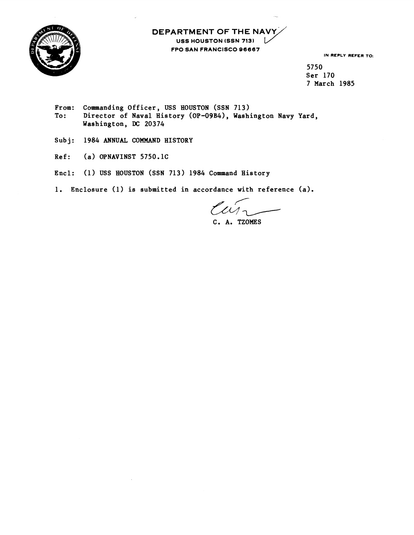

## **DEPARTMENT OF THE USS HOUSTON (SSN 7131 FPO SAN FRANCISCO 96667**

**IN REPLY REFER TO:** 

**5750 Ser 170 7 March 1985** 

- **From: To** : **Commanding Officer, USS HOUSTON (SSN 713)**  Director of Naval History (OP-09B4), Washington Navy Yard, **Washington, DC 20374**
- **Subj: 1984 ANNUAL COMMAND HISTORY**
- **Ref: (a) OPNAVINST 5750.1C**
- **Encl: (1) USS HOUSTON (SSN 713) 1984 Command History**
- **1. Enclosure (1) is submitted in accordance with reference (a).**

 $\mu$ **C. A. TZOMES**